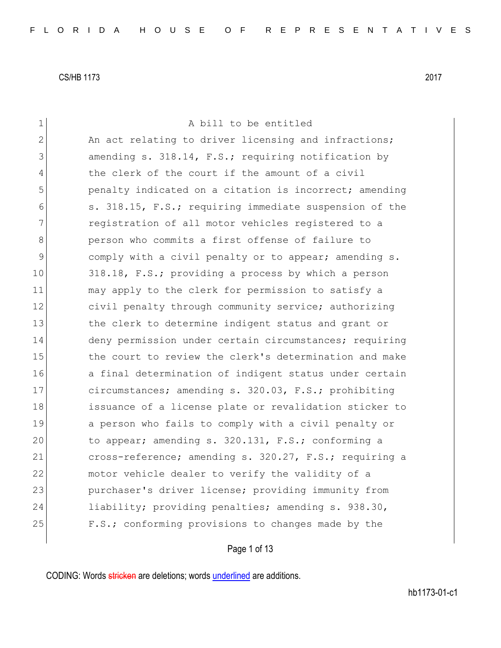| $\mathbf 1$  | A bill to be entitled                                  |
|--------------|--------------------------------------------------------|
| $\mathbf{2}$ | An act relating to driver licensing and infractions;   |
| 3            | amending s. 318.14, F.S.; requiring notification by    |
| 4            | the clerk of the court if the amount of a civil        |
| 5            | penalty indicated on a citation is incorrect; amending |
| 6            | s. 318.15, F.S.; requiring immediate suspension of the |
| 7            | registration of all motor vehicles registered to a     |
| 8            | person who commits a first offense of failure to       |
| 9            | comply with a civil penalty or to appear; amending s.  |
| 10           | 318.18, F.S.; providing a process by which a person    |
| 11           | may apply to the clerk for permission to satisfy a     |
| 12           | civil penalty through community service; authorizing   |
| 13           | the clerk to determine indigent status and grant or    |
| 14           | deny permission under certain circumstances; requiring |
| 15           | the court to review the clerk's determination and make |
| 16           | a final determination of indigent status under certain |
| 17           | circumstances; amending s. 320.03, F.S.; prohibiting   |
| 18           | issuance of a license plate or revalidation sticker to |
| 19           | a person who fails to comply with a civil penalty or   |
| 20           | to appear; amending s. 320.131, F.S.; conforming a     |
| 21           | cross-reference; amending s. 320.27, F.S.; requiring a |
| 22           | motor vehicle dealer to verify the validity of a       |
| 23           | purchaser's driver license; providing immunity from    |
| 24           | liability; providing penalties; amending s. 938.30,    |
| 25           | F.S.; conforming provisions to changes made by the     |
|              |                                                        |

Page 1 of 13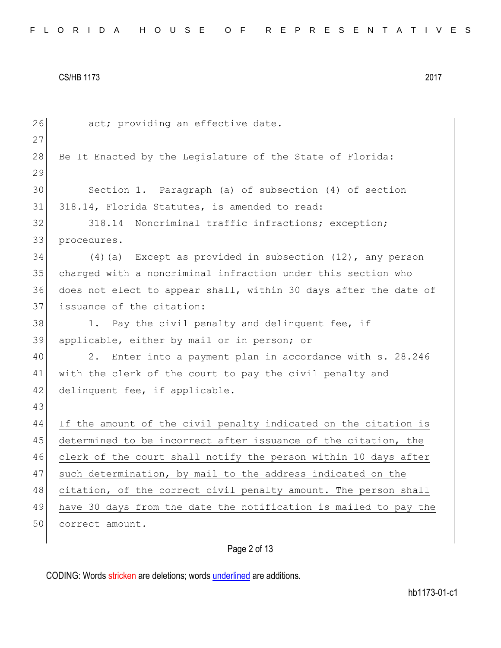| 26 | act; providing an effective date.                                |
|----|------------------------------------------------------------------|
| 27 |                                                                  |
| 28 | Be It Enacted by the Legislature of the State of Florida:        |
| 29 |                                                                  |
| 30 | Section 1. Paragraph (a) of subsection (4) of section            |
| 31 | 318.14, Florida Statutes, is amended to read:                    |
| 32 | Noncriminal traffic infractions; exception;<br>318.14            |
| 33 | procedures.-                                                     |
| 34 | $(4)$ (a) Except as provided in subsection $(12)$ , any person   |
| 35 | charged with a noncriminal infraction under this section who     |
| 36 | does not elect to appear shall, within 30 days after the date of |
| 37 | issuance of the citation:                                        |
| 38 | Pay the civil penalty and delinquent fee, if<br>1.               |
| 39 | applicable, either by mail or in person; or                      |
| 40 | 2.<br>Enter into a payment plan in accordance with s. 28.246     |
| 41 | with the clerk of the court to pay the civil penalty and         |
| 42 | delinquent fee, if applicable.                                   |
| 43 |                                                                  |
| 44 | If the amount of the civil penalty indicated on the citation is  |
| 45 | determined to be incorrect after issuance of the citation, the   |
| 46 | clerk of the court shall notify the person within 10 days after  |
| 47 | such determination, by mail to the address indicated on the      |
| 48 | citation, of the correct civil penalty amount. The person shall  |
| 49 | have 30 days from the date the notification is mailed to pay the |
| 50 | correct amount.                                                  |
|    |                                                                  |

# Page 2 of 13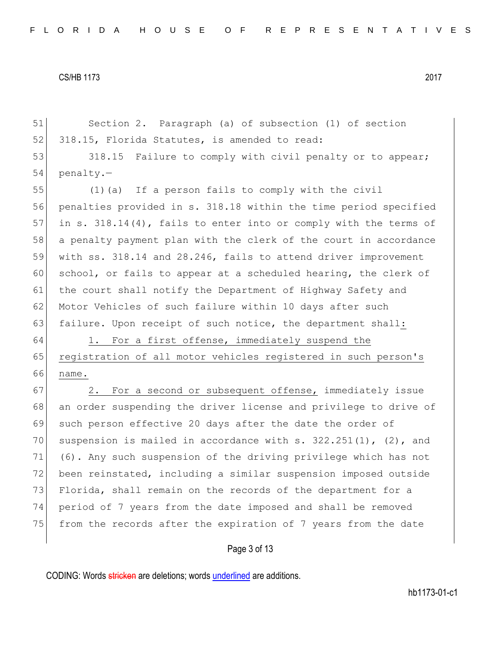51 Section 2. Paragraph (a) of subsection (1) of section 52 318.15, Florida Statutes, is amended to read: 53 318.15 Failure to comply with civil penalty or to appear; 54 penalty.— 55 (1)(a) If a person fails to comply with the civil 56 penalties provided in s. 318.18 within the time period specified 57 in s. 318.14(4), fails to enter into or comply with the terms of 58 a penalty payment plan with the clerk of the court in accordance 59 with ss. 318.14 and 28.246, fails to attend driver improvement 60 school, or fails to appear at a scheduled hearing, the clerk of 61 the court shall notify the Department of Highway Safety and 62 Motor Vehicles of such failure within 10 days after such 63 failure. Upon receipt of such notice, the department shall: 64 1. For a first offense, immediately suspend the 65 registration of all motor vehicles registered in such person's 66 name. 67 2. For a second or subsequent offense, immediately issue 68 an order suspending the driver license and privilege to drive of 69 such person effective 20 days after the date the order of 70 suspension is mailed in accordance with s.  $322.251(1)$ , (2), and 71 (6). Any such suspension of the driving privilege which has not 72 been reinstated, including a similar suspension imposed outside 73 Florida, shall remain on the records of the department for a 74 period of 7 years from the date imposed and shall be removed 75 from the records after the expiration of 7 years from the date

Page 3 of 13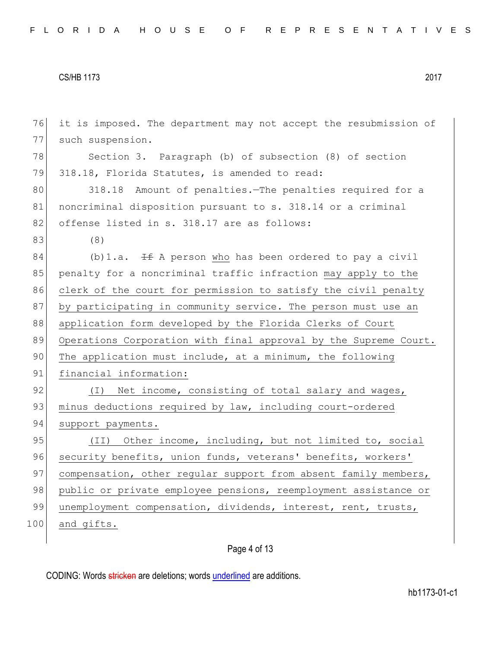| 76  | it is imposed. The department may not accept the resubmission of |
|-----|------------------------------------------------------------------|
| 77  | such suspension.                                                 |
| 78  | Section 3. Paragraph (b) of subsection (8) of section            |
| 79  | 318.18, Florida Statutes, is amended to read:                    |
| 80  | 318.18 Amount of penalties. The penalties required for a         |
| 81  | noncriminal disposition pursuant to s. 318.14 or a criminal      |
| 82  | offense listed in s. 318.17 are as follows:                      |
| 83  | (8)                                                              |
| 84  | (b) 1.a. $\pm$ A person who has been ordered to pay a civil      |
| 85  | penalty for a noncriminal traffic infraction may apply to the    |
| 86  | clerk of the court for permission to satisfy the civil penalty   |
| 87  | by participating in community service. The person must use an    |
| 88  | application form developed by the Florida Clerks of Court        |
| 89  | Operations Corporation with final approval by the Supreme Court. |
| 90  | The application must include, at a minimum, the following        |
| 91  | financial information:                                           |
| 92  | (I) Net income, consisting of total salary and wages,            |
| 93  | minus deductions required by law, including court-ordered        |
| 94  | support payments.                                                |
| 95  | (II) Other income, including, but not limited to, social         |
| 96  | security benefits, union funds, veterans' benefits, workers'     |
| 97  | compensation, other regular support from absent family members,  |
| 98  | public or private employee pensions, reemployment assistance or  |
| 99  | unemployment compensation, dividends, interest, rent, trusts,    |
| 100 | and gifts.                                                       |
|     |                                                                  |

# Page 4 of 13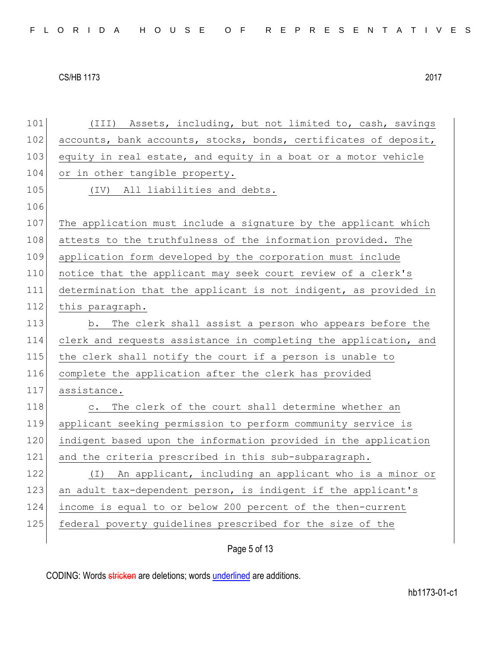101 (III) Assets, including, but not limited to, cash, savings 102 accounts, bank accounts, stocks, bonds, certificates of deposit, 103 equity in real estate, and equity in a boat or a motor vehicle 104 or in other tangible property. 105 (IV) All liabilities and debts. 106 107 The application must include a signature by the applicant which 108 attests to the truthfulness of the information provided. The 109 application form developed by the corporation must include 110 notice that the applicant may seek court review of a clerk's 111 determination that the applicant is not indigent, as provided in 112 this paragraph. 113 b. The clerk shall assist a person who appears before the 114 clerk and requests assistance in completing the application, and 115 the clerk shall notify the court if a person is unable to 116 complete the application after the clerk has provided 117 assistance. 118 c. The clerk of the court shall determine whether an 119 applicant seeking permission to perform community service is 120 indigent based upon the information provided in the application 121 and the criteria prescribed in this sub-subparagraph. 122 (I) An applicant, including an applicant who is a minor or 123 an adult tax-dependent person, is indigent if the applicant's 124 income is equal to or below 200 percent of the then-current 125 federal poverty guidelines prescribed for the size of the

Page 5 of 13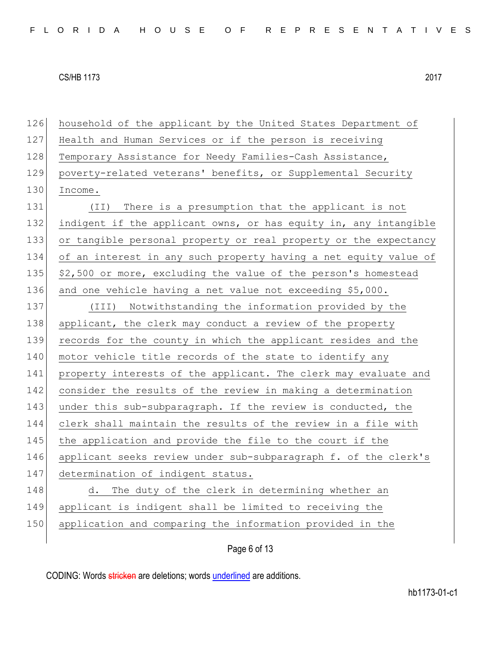| household of the applicant by the United States Department of    |
|------------------------------------------------------------------|
| Health and Human Services or if the person is receiving          |
| Temporary Assistance for Needy Families-Cash Assistance,         |
| poverty-related veterans' benefits, or Supplemental Security     |
| Income.                                                          |
| There is a presumption that the applicant is not<br>(TI)         |
| indigent if the applicant owns, or has equity in, any intangible |
| or tangible personal property or real property or the expectancy |
| of an interest in any such property having a net equity value of |
| \$2,500 or more, excluding the value of the person's homestead   |
| and one vehicle having a net value not exceeding \$5,000.        |
| Notwithstanding the information provided by the<br>(III)         |
| applicant, the clerk may conduct a review of the property        |
| records for the county in which the applicant resides and the    |
| motor vehicle title records of the state to identify any         |
| property interests of the applicant. The clerk may evaluate and  |
| consider the results of the review in making a determination     |
| under this sub-subparagraph. If the review is conducted, the     |
| clerk shall maintain the results of the review in a file with    |
| the application and provide the file to the court if the         |
| applicant seeks review under sub-subparagraph f. of the clerk's  |
| determination of indigent status.                                |
| The duty of the clerk in determining whether an<br>d.            |
| applicant is indigent shall be limited to receiving the          |
| application and comparing the information provided in the        |
| Page 6 of 13                                                     |
|                                                                  |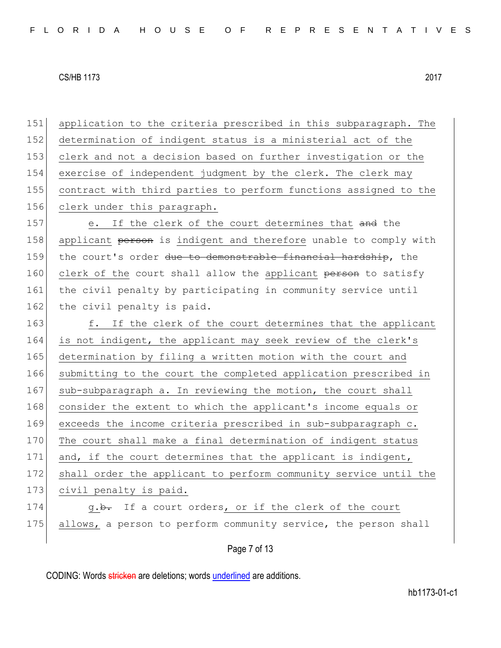151 application to the criteria prescribed in this subparagraph. The 152 determination of indigent status is a ministerial act of the 153 clerk and not a decision based on further investigation or the 154 exercise of independent judgment by the clerk. The clerk may 155 contract with third parties to perform functions assigned to the 156 clerk under this paragraph. 157 e. If the clerk of the court determines that and the 158 applicant person is indigent and therefore unable to comply with 159 the court's order due to demonstrable financial hardship, the 160 clerk of the court shall allow the applicant person to satisfy 161 the civil penalty by participating in community service until 162 the civil penalty is paid. 163 f. If the clerk of the court determines that the applicant 164 is not indigent, the applicant may seek review of the clerk's 165 determination by filing a written motion with the court and 166 submitting to the court the completed application prescribed in 167 sub-subparagraph a. In reviewing the motion, the court shall 168 consider the extent to which the applicant's income equals or 169 exceeds the income criteria prescribed in sub-subparagraph c. 170 The court shall make a final determination of indigent status 171 and, if the court determines that the applicant is indigent, 172 shall order the applicant to perform community service until the 173 civil penalty is paid. 174 g.b. If a court orders, or if the clerk of the court 175 allows, a person to perform community service, the person shall

Page 7 of 13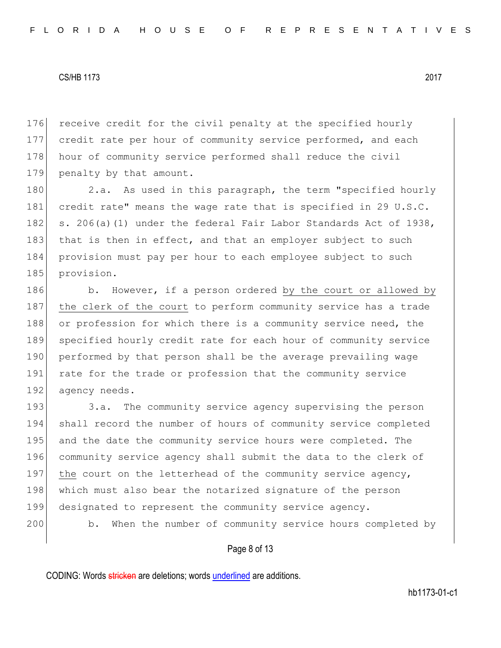176 receive credit for the civil penalty at the specified hourly 177 credit rate per hour of community service performed, and each 178 hour of community service performed shall reduce the civil 179 penalty by that amount.

180 2.a. As used in this paragraph, the term "specified hourly 181 credit rate" means the wage rate that is specified in 29 U.S.C. 182 s. 206(a)(1) under the federal Fair Labor Standards Act of 1938, 183 that is then in effect, and that an employer subject to such 184 provision must pay per hour to each employee subject to such 185 provision.

186 b. However, if a person ordered by the court or allowed by 187 the clerk of the court to perform community service has a trade 188 or profession for which there is a community service need, the 189 specified hourly credit rate for each hour of community service 190 performed by that person shall be the average prevailing wage 191 rate for the trade or profession that the community service 192 agency needs.

193 3.a. The community service agency supervising the person 194 shall record the number of hours of community service completed 195 and the date the community service hours were completed. The 196 community service agency shall submit the data to the clerk of 197 the court on the letterhead of the community service agency, 198 which must also bear the notarized signature of the person 199 designated to represent the community service agency. 200 b. When the number of community service hours completed by

# Page 8 of 13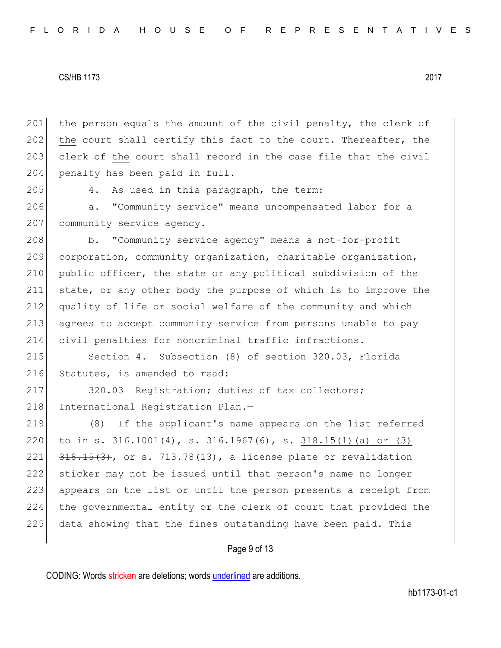201 the person equals the amount of the civil penalty, the clerk of 202 the court shall certify this fact to the court. Thereafter, the 203 clerk of the court shall record in the case file that the civil 204 penalty has been paid in full.

205 4. As used in this paragraph, the term:

206 a. "Community service" means uncompensated labor for a 207 community service agency.

208 b. "Community service agency" means a not-for-profit 209 corporation, community organization, charitable organization, 210 public officer, the state or any political subdivision of the 211 state, or any other body the purpose of which is to improve the 212 quality of life or social welfare of the community and which 213 agrees to accept community service from persons unable to pay 214 civil penalties for noncriminal traffic infractions.

215 Section 4. Subsection (8) of section 320.03, Florida 216 Statutes, is amended to read:

217 320.03 Registration; duties of tax collectors; 218 International Registration Plan.-

 (8) If the applicant's name appears on the list referred to in s. 316.1001(4), s. 316.1967(6), s. 318.15(1)(a) or (3)  $\left[318, 15(3), 005, 713, 78(13), a\right]$  license plate or revalidation sticker may not be issued until that person's name no longer 223 appears on the list or until the person presents a receipt from the governmental entity or the clerk of court that provided the 225 data showing that the fines outstanding have been paid. This

# Page 9 of 13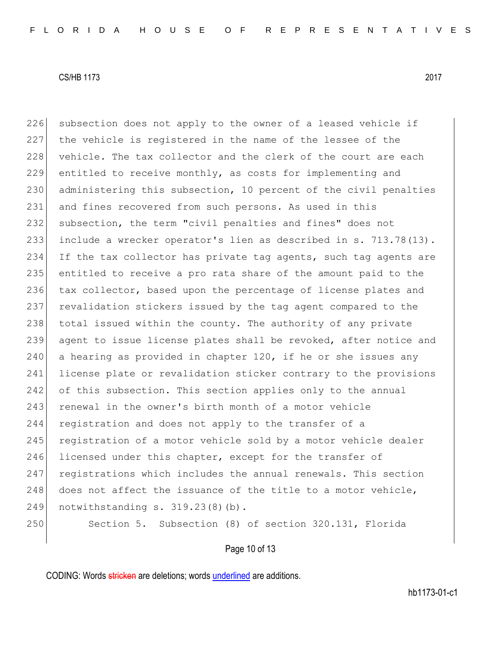226 subsection does not apply to the owner of a leased vehicle if 227 the vehicle is registered in the name of the lessee of the 228 vehicle. The tax collector and the clerk of the court are each 229 entitled to receive monthly, as costs for implementing and 230 administering this subsection, 10 percent of the civil penalties 231 and fines recovered from such persons. As used in this 232 subsection, the term "civil penalties and fines" does not 233 include a wrecker operator's lien as described in s. 713.78(13). 234 If the tax collector has private tag agents, such tag agents are 235 entitled to receive a pro rata share of the amount paid to the 236 tax collector, based upon the percentage of license plates and 237 revalidation stickers issued by the tag agent compared to the 238 total issued within the county. The authority of any private 239 agent to issue license plates shall be revoked, after notice and 240 a hearing as provided in chapter 120, if he or she issues any 241 license plate or revalidation sticker contrary to the provisions 242 of this subsection. This section applies only to the annual 243 renewal in the owner's birth month of a motor vehicle 244 registration and does not apply to the transfer of a 245 registration of a motor vehicle sold by a motor vehicle dealer 246 licensed under this chapter, except for the transfer of 247 registrations which includes the annual renewals. This section 248 does not affect the issuance of the title to a motor vehicle, 249 notwithstanding s. 319.23(8)(b).

250 Section 5. Subsection (8) of section 320.131, Florida

Page 10 of 13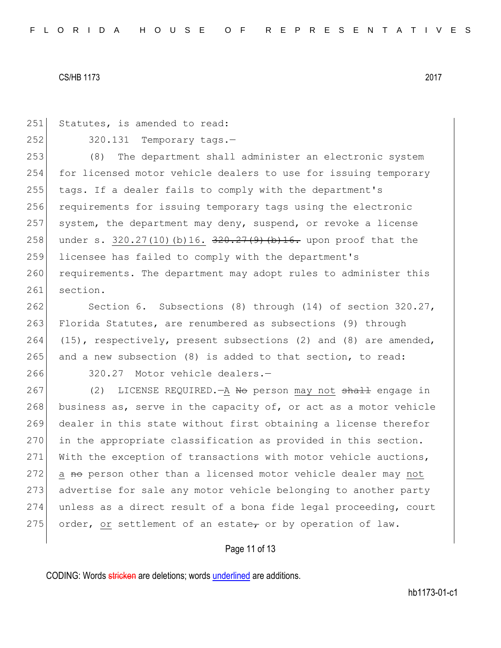251 Statutes, is amended to read:  $252$   $320.131$  Temporary tags. 253 (8) The department shall administer an electronic system 254 for licensed motor vehicle dealers to use for issuing temporary 255 tags. If a dealer fails to comply with the department's 256 requirements for issuing temporary tags using the electronic 257 system, the department may deny, suspend, or revoke a license 258 under s. 320.27(10)(b)16.  $\frac{320.27(9)}{100}$  (b)16. upon proof that the 259 licensee has failed to comply with the department's 260 requirements. The department may adopt rules to administer this 261 section.

262 Section 6. Subsections (8) through (14) of section 320.27, 263 Florida Statutes, are renumbered as subsections (9) through 264 (15), respectively, present subsections (2) and (8) are amended, 265 and a new subsection (8) is added to that section, to read:

266 320.27 Motor vehicle dealers.-

267 (2) LICENSE REQUIRED.—A No person may not shall engage in 268 business as, serve in the capacity of, or act as a motor vehicle 269 dealer in this state without first obtaining a license therefor 270 in the appropriate classification as provided in this section. 271 With the exception of transactions with motor vehicle auctions, 272 a no person other than a licensed motor vehicle dealer may not 273 advertise for sale any motor vehicle belonging to another party 274 unless as a direct result of a bona fide legal proceeding, court 275 order, or settlement of an estate, or by operation of law.

# Page 11 of 13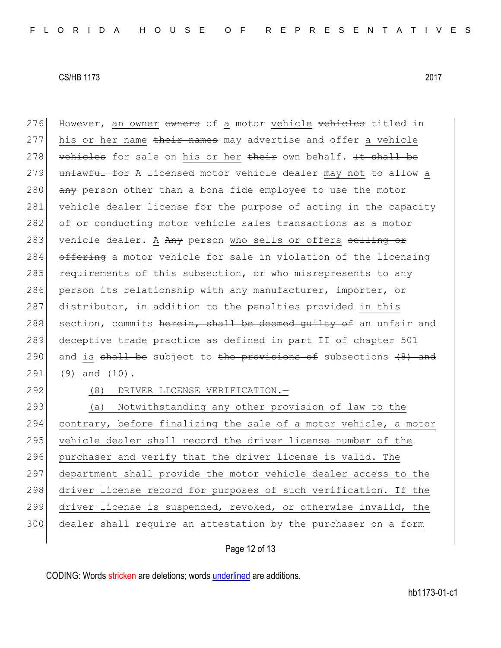276 However, an owner owners of a motor vehicle vehicles titled in 277 his or her name their names may advertise and offer a vehicle 278 vehicles for sale on his or her their own behalf. It shall be 279 unlawful for A licensed motor vehicle dealer may not to allow a 280  $\overline{any}$  person other than a bona fide employee to use the motor 281 vehicle dealer license for the purpose of acting in the capacity 282 of or conducting motor vehicle sales transactions as a motor 283 vehicle dealer. A Any person who sells or offers selling or 284 offering a motor vehicle for sale in violation of the licensing 285 requirements of this subsection, or who misrepresents to any 286 person its relationship with any manufacturer, importer, or 287 distributor, in addition to the penalties provided in this 288 section, commits herein, shall be deemed quilty of an unfair and 289 deceptive trade practice as defined in part II of chapter 501 290 and is shall be subject to the provisions of subsections  $(8)$  and 291 (9) and (10). 292 (8) DRIVER LICENSE VERIFICATION.

 (a) Notwithstanding any other provision of law to the 294 contrary, before finalizing the sale of a motor vehicle, a motor 295 vehicle dealer shall record the driver license number of the purchaser and verify that the driver license is valid. The department shall provide the motor vehicle dealer access to the 298 driver license record for purposes of such verification. If the driver license is suspended, revoked, or otherwise invalid, the dealer shall require an attestation by the purchaser on a form

Page 12 of 13